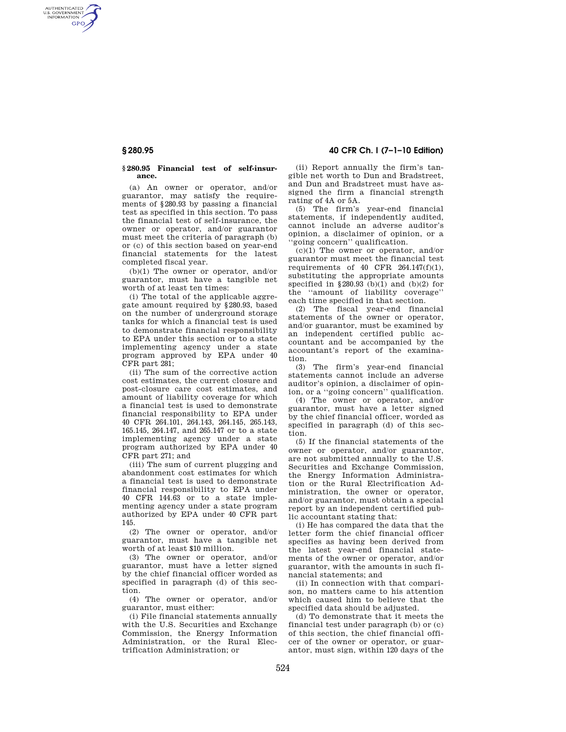AUTHENTICATED<br>U.S. GOVERNMENT<br>INFORMATION **GPO** 

## **§ 280.95 Financial test of self-insurance.**

(a) An owner or operator, and/or guarantor, may satisfy the requirements of §280.93 by passing a financial test as specified in this section. To pass the financial test of self-insurance, the owner or operator, and/or guarantor must meet the criteria of paragraph (b) or (c) of this section based on year-end financial statements for the latest completed fiscal year.

(b)(1) The owner or operator, and/or guarantor, must have a tangible net worth of at least ten times:

(i) The total of the applicable aggregate amount required by §280.93, based on the number of underground storage tanks for which a financial test is used to demonstrate financial responsibility to EPA under this section or to a state implementing agency under a state program approved by EPA under 40 CFR part 281;

(ii) The sum of the corrective action cost estimates, the current closure and post-closure care cost estimates, and amount of liability coverage for which a financial test is used to demonstrate financial responsibility to EPA under 40 CFR 264.101, 264.143, 264.145, 265.143, 165.145, 264.147, and 265.147 or to a state implementing agency under a state program authorized by EPA under 40 CFR part 271; and

(iii) The sum of current plugging and abandonment cost estimates for which a financial test is used to demonstrate financial responsibility to EPA under 40 CFR 144.63 or to a state implementing agency under a state program authorized by EPA under 40 CFR part 145.

(2) The owner or operator, and/or guarantor, must have a tangible net worth of at least \$10 million.

(3) The owner or operator, and/or guarantor, must have a letter signed by the chief financial officer worded as specified in paragraph (d) of this section.

(4) The owner or operator, and/or guarantor, must either:

(i) File financial statements annually with the U.S. Securities and Exchange Commission, the Energy Information Administration, or the Rural Electrification Administration; or

**§ 280.95 40 CFR Ch. I (7–1–10 Edition)** 

(ii) Report annually the firm's tangible net worth to Dun and Bradstreet, and Dun and Bradstreet must have assigned the firm a financial strength rating of 4A or 5A.

(5) The firm's year-end financial statements, if independently audited, cannot include an adverse auditor's opinion, a disclaimer of opinion, or a 'going concern'' qualification.

(c)(1) The owner or operator, and/or guarantor must meet the financial test requirements of 40 CFR 264.147(f)(1), substituting the appropriate amounts specified in §280.93 (b)(1) and (b)(2) for the ''amount of liability coverage'' each time specified in that section.

(2) The fiscal year-end financial statements of the owner or operator, and/or guarantor, must be examined by an independent certified public accountant and be accompanied by the accountant's report of the examination.

(3) The firm's year-end financial statements cannot include an adverse auditor's opinion, a disclaimer of opinion, or a ''going concern'' qualification.

(4) The owner or operator, and/or guarantor, must have a letter signed by the chief financial officer, worded as specified in paragraph (d) of this section.

(5) If the financial statements of the owner or operator, and/or guarantor, are not submitted annually to the U.S. Securities and Exchange Commission, the Energy Information Administration or the Rural Electrification Administration, the owner or operator, and/or guarantor, must obtain a special report by an independent certified public accountant stating that:

(i) He has compared the data that the letter form the chief financial officer specifies as having been derived from the latest year-end financial statements of the owner or operator, and/or guarantor, with the amounts in such financial statements; and

(ii) In connection with that comparison, no matters came to his attention which caused him to believe that the specified data should be adjusted.

(d) To demonstrate that it meets the financial test under paragraph (b) or (c) of this section, the chief financial officer of the owner or operator, or guarantor, must sign, within 120 days of the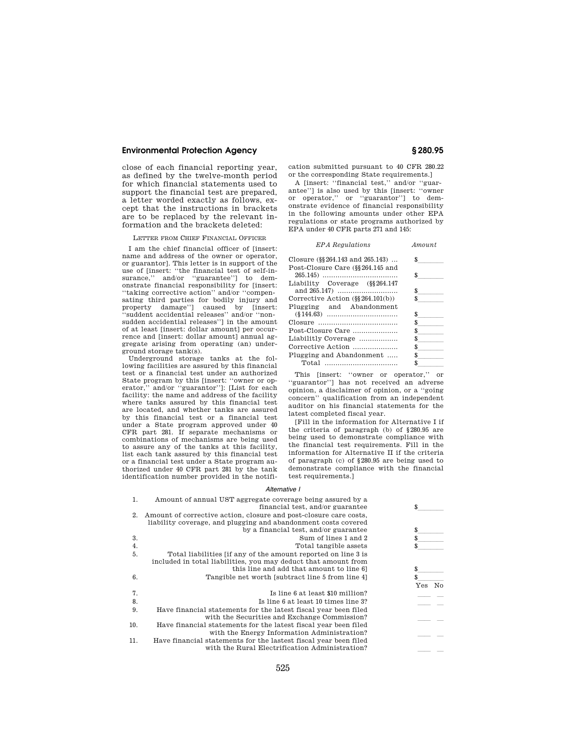## **Environmental Protection Agency § 280.95**

close of each financial reporting year, as defined by the twelve-month period for which financial statements used to support the financial test are prepared, a letter worded exactly as follows, except that the instructions in brackets are to be replaced by the relevant information and the brackets deleted:

LETTER FROM CHIEF FINANCIAL OFFICER

I am the chief financial officer of [insert: name and address of the owner or operator, or guarantor]. This letter is in support of the use of [insert: "the financial test of self-in-<br>surance." and/or "guarantee" to demsurance," and/or "guarantee"] to onstrate financial responsibility for [insert: ''taking corrective action'' and/or ''compensating third parties for bodily injury and property damage''] caused by [insert: ''suddent accidential releases'' and/or ''nonsudden accidential releases''] in the amount of at least [insert: dollar amount] per occurrence and [insert: dollar amount] annual aggregate arising from operating (an) underground storage tank(s).

Underground storage tanks at the following facilities are assured by this financial test or a financial test under an authorized State program by this [insert: ''owner or operator,'' and/or ''guarantor'']: [List for each facility: the name and address of the facility where tanks assured by this financial test are located, and whether tanks are assured by this financial test or a financial test under a State program approved under 40 CFR part 281. If separate mechanisms or combinations of mechanisms are being used to assure any of the tanks at this facility, list each tank assured by this financial test or a financial test under a State program authorized under 40 CFR part 281 by the tank identification number provided in the notifi-

cation submitted pursuant to 40 CFR 280.22 or the corresponding State requirements.]

A [insert: ''financial test,'' and/or ''guarantee''] is also used by this [insert: ''owner or operator,'' or ''guarantor''] to demonstrate evidence of financial responsibility in the following amounts under other EPA regulations or state programs authorized by EPA under 40 CFR parts 271 and 145:

| <b>EPA</b> Regulations                | Amount |
|---------------------------------------|--------|
| Closure (§§ 264.143 and 265.143)      | \$     |
| Post-Closure Care (§§ 264.145 and     |        |
|                                       | \$     |
| Liability Coverage (§§264.147         |        |
| and 265.147)                          | \$     |
| Corrective Action $(\S\S 264.101(b))$ | \$     |
| Plugging and Abandonment              |        |
|                                       | \$     |
|                                       | \$     |
| Post-Closure Care                     | \$     |
| Liabilitly Coverage                   | \$     |
| Corrective Action                     | S.     |
| Plugging and Abandonment              | S.     |
|                                       | \$.    |

This [insert: ''owner or operator,'' or ''guarantor''] has not received an adverse opinion, a disclaimer of opinion, or a ''going concern'' qualification from an independent auditor on his financial statements for the latest completed fiscal year.

[Fill in the information for Alternative I if the criteria of paragraph (b) of §280.95 are being used to demonstrate compliance with the financial test requirements. Fill in the information for Alternative II if the criteria of paragraph (c) of §280.95 are being used to demonstrate compliance with the financial test requirements.]

### *Alternative I*

| 1.  | Amount of annual UST aggregate coverage being assured by a<br>financial test, and/or guarantee                                      | S.        |
|-----|-------------------------------------------------------------------------------------------------------------------------------------|-----------|
| 2.  | Amount of corrective action, closure and post-closure care costs,<br>liability coverage, and plugging and abandonment costs covered |           |
|     | by a financial test, and/or guarantee                                                                                               | \$        |
| 3.  | Sum of lines 1 and 2                                                                                                                | \$.       |
| 4.  | Total tangible assets                                                                                                               | \$        |
| 5.  | Total liabilities [if any of the amount reported on line 3 is<br>included in total liabilities, you may deduct that amount from     |           |
|     | this line and add that amount to line 6]                                                                                            | \$        |
| 6.  | Tangible net worth [subtract line 5 from line 4]                                                                                    | \$        |
|     |                                                                                                                                     | No<br>Yes |
| 7.  | Is line 6 at least \$10 million?                                                                                                    |           |
| 8.  | Is line 6 at least 10 times line 3?                                                                                                 |           |
| 9.  | Have financial statements for the latest fiscal year been filed<br>with the Securities and Exchange Commission?                     |           |
| 10. | Have financial statements for the latest fiscal year been filed<br>with the Energy Information Administration?                      |           |
| 11. | Have financial statements for the lastest fiscal year been filed                                                                    |           |
|     | with the Rural Electrification Administration?                                                                                      |           |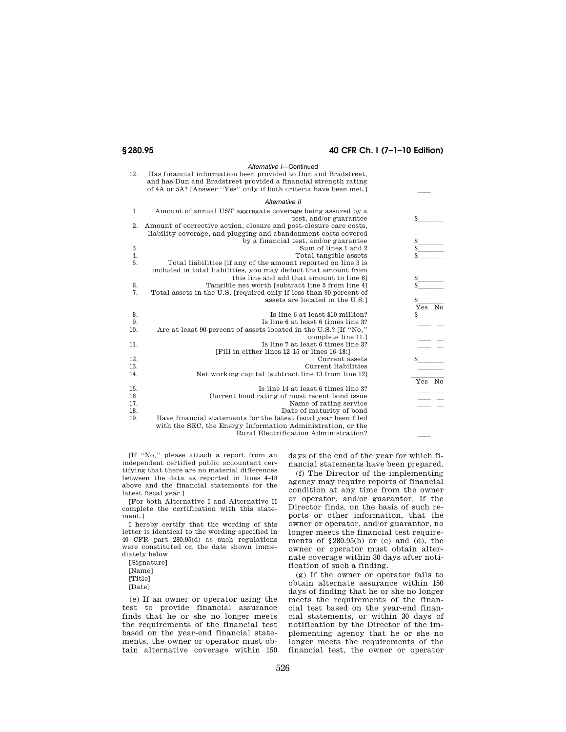# **§ 280.95 40 CFR Ch. I (7–1–10 Edition)**

|     | Alternative I-Continued                                            |           |
|-----|--------------------------------------------------------------------|-----------|
| 12. | Has financial information been provided to Dun and Bradstreet,     |           |
|     | and has Dun and Bradstreet provided a financial strength rating    |           |
|     | of 4A or 5A? [Answer "Yes" only if both criteria have been met.]   |           |
|     |                                                                    |           |
|     | Alternative II                                                     |           |
| 1.  | Amount of annual UST aggregate coverage being assured by a         |           |
|     | test, and/or guarantee                                             | \$        |
| 2.  | Amount of corrective action, closure and post-closure care costs,  |           |
|     | liability coverage, and plugging and abandonment costs covered     |           |
|     | by a financial test, and/or guarantee                              | \$        |
| 3.  | Sum of lines 1 and 2                                               | \$        |
| 4.  | Total tangible assets                                              | \$        |
| 5.  | Total liabilities (if any of the amount reported on line 3 is      |           |
|     | included in total liabilities, you may deduct that amount from     |           |
|     | this line and add that amount to line 6]                           | \$        |
| 6.  | Tangible net worth [subtract line 5 from line 4]                   | \$        |
| 7.  | Total assets in the U.S. [required only if less than 90 percent of |           |
|     | assets are located in the U.S.]                                    | \$        |
|     |                                                                    | Yes<br>No |
| 8.  | Is line 6 at least \$10 million?                                   | \$        |
| 9.  | Is line 6 at least 6 times line 3?                                 |           |
| 10. | Are at least 90 percent of assets located in the U.S.? [If "No,"   |           |
|     | complete line 11.1                                                 |           |
| 11. | Is line 7 at least 6 times line 3?                                 |           |
|     | [Fill in either lines 12-15 or lines 16-18:]                       |           |
| 12. | Current assets                                                     | \$.       |
| 13. | Current liabilities                                                |           |
| 14. | Net working capital [subtract line 13 from line 12]                |           |
|     |                                                                    | No<br>Yes |
| 15. | Is line 14 at least 6 times line 3?                                |           |
| 16. | Current bond rating of most recent bond issue                      |           |
| 17. | Name of rating service                                             |           |
| 18. | Date of maturity of bond                                           |           |
| 19. | Have financial statements for the latest fiscal year been filed    |           |
|     | with the SEC, the Energy Information Administration, or the        |           |
|     | Rural Electrification Administration?                              |           |
|     |                                                                    |           |

[If ''No,'' please attach a report from an independent certified public accountant certifying that there are no material differences between the data as reported in lines 4–18 above and the financial statements for the latest fiscal year.]

[For both Alternative I and Alternative II complete the certification with this statement.]

I hereby certify that the wording of this letter is identical to the wording specified in 40 CFR part 280.95(d) as such regulations were constituted on the date shown immediately below.

[Signature] [Name] [Title] [Date]

(e) If an owner or operator using the test to provide financial assurance finds that he or she no longer meets the requirements of the financial test based on the year-end financial statements, the owner or operator must obtain alternative coverage within 150

days of the end of the year for which financial statements have been prepared.

(f) The Director of the implementing agency may require reports of financial condition at any time from the owner or operator, and/or guarantor. If the Director finds, on the basis of such reports or other information, that the owner or operator, and/or guarantor, no longer meets the financial test requirements of  $$280.95(b)$  or (c) and (d), the owner or operator must obtain alternate coverage within 30 days after notification of such a finding.

(g) If the owner or operator fails to obtain alternate assurance within 150 days of finding that he or she no longer meets the requirements of the financial test based on the year-end financial statements, or within 30 days of notification by the Director of the implementing agency that he or she no longer meets the requirements of the financial test, the owner or operator